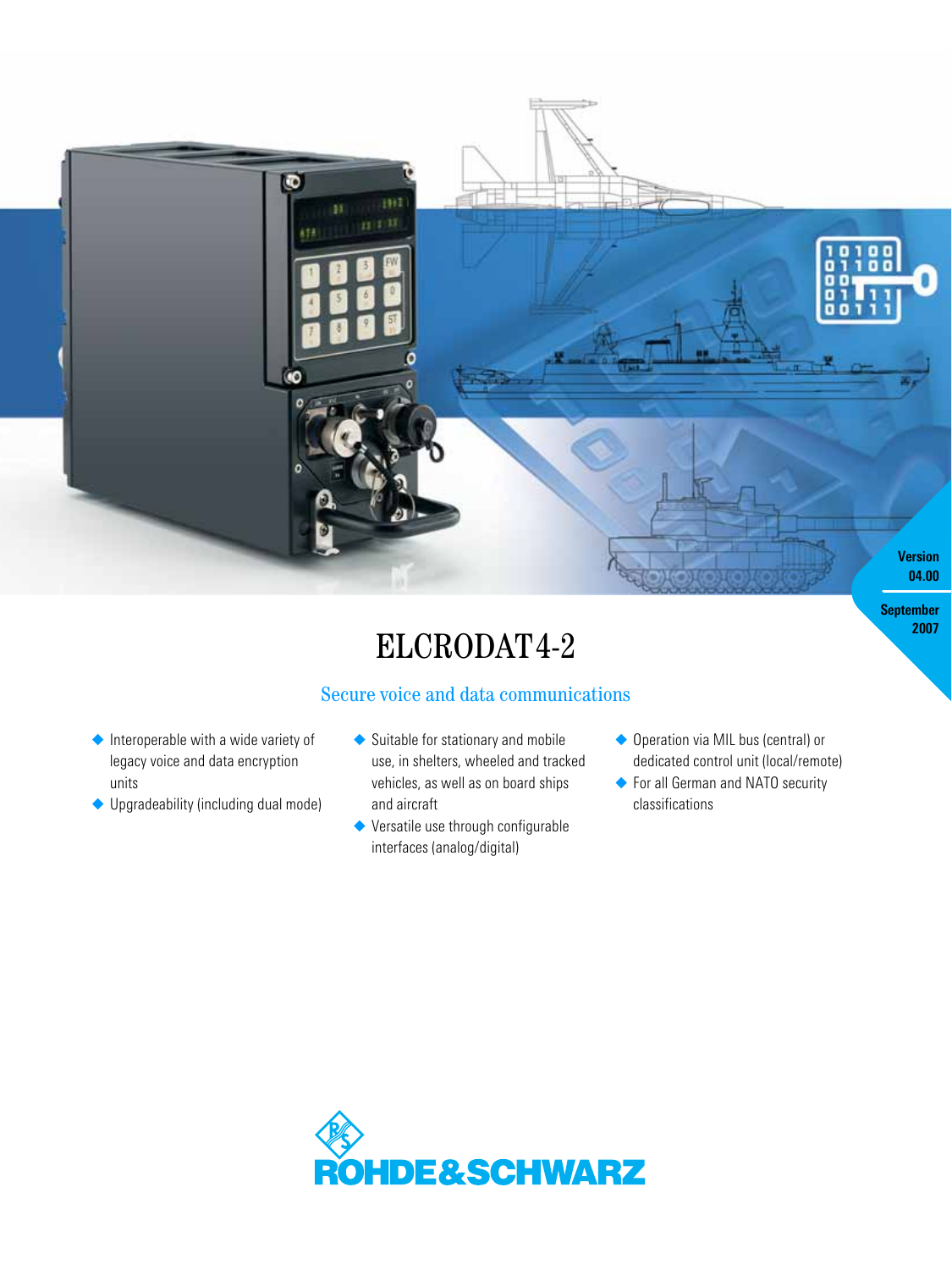

# ELCRODAT4-2

# Secure voice and data communications

- ◆ Interoperable with a wide variety of legacy voice and data encryption units
- ◆ Upgradeability (including dual mode)
- ◆ Suitable for stationary and mobile use, in shelters, wheeled and tracked vehicles, as well as on board ships and aircraft
- ◆ Versatile use through configurable interfaces (analog/digital)
- ◆ Operation via MIL bus (central) or dedicated control unit (local/remote)

**2007**

◆ For all German and NATO security classifications

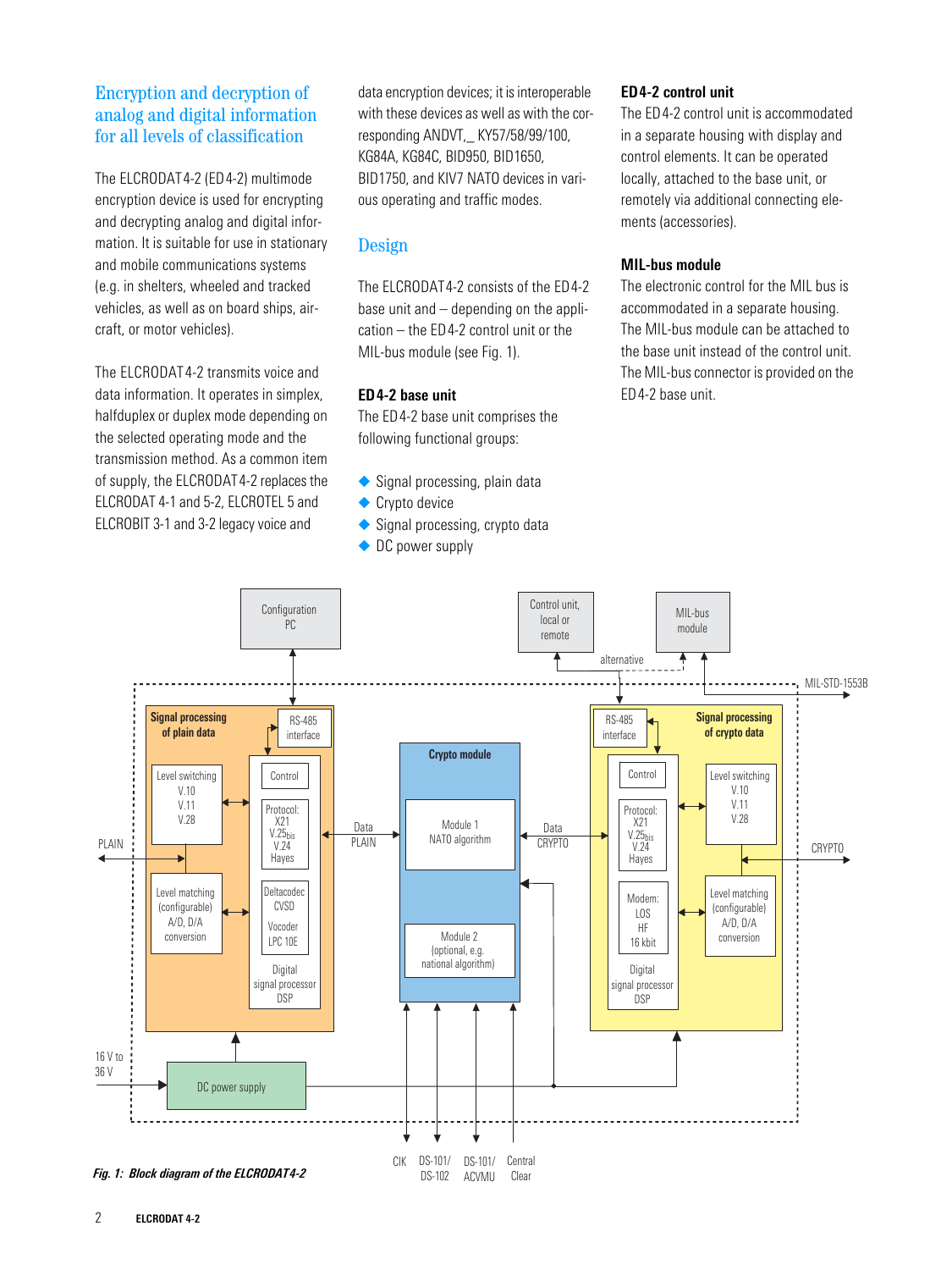## Encryption and decryption of analog and digital information for all levels of classification

The ELCRODAT4-2 (ED4-2) multimode encryption device is used for encrypting and decrypting analog and digital information. It is suitable for use in stationary and mobile communications systems (e.g. in shelters, wheeled and tracked vehicles, as well as on board ships, aircraft, or motor vehicles).

The ELCRODAT4-2 transmits voice and data information. It operates in simplex, halfduplex or duplex mode depending on the selected operating mode and the transmission method. As a common item of supply, the ELCRODAT4-2 replaces the ELCRODAT 4-1 and 5-2, ELCROTEL 5 and ELCROBIT 3-1 and 3-2 legacy voice and

data encryption devices; it is interoperable with these devices as well as with the corresponding ANDVT,\_ KY57/58/99/100, KG84A, KG84C, BID950, BID1650, BID1750, and KIV7 NATO devices in various operating and traffic modes.

## Design

The ELCRODAT4-2 consists of the ED4-2 base unit and – depending on the application – the ED4-2 control unit or the MIL-bus module (see Fig. 1).

## **ED4-2 base unit**

The ED4-2 base unit comprises the following functional groups:

- ◆ Signal processing, plain data
- ◆ Crypto device
- ◆ Signal processing, crypto data
- ◆ DC power supply

## **ED4-2 control unit**

The ED4-2 control unit is accommodated in a separate housing with display and control elements. It can be operated locally, attached to the base unit, or remotely via additional connecting elements (accessories).

## **MIL-bus module**

The electronic control for the MIL bus is accommodated in a separate housing. The MIL-bus module can be attached to the base unit instead of the control unit. The MIL-bus connector is provided on the ED4-2 base unit.

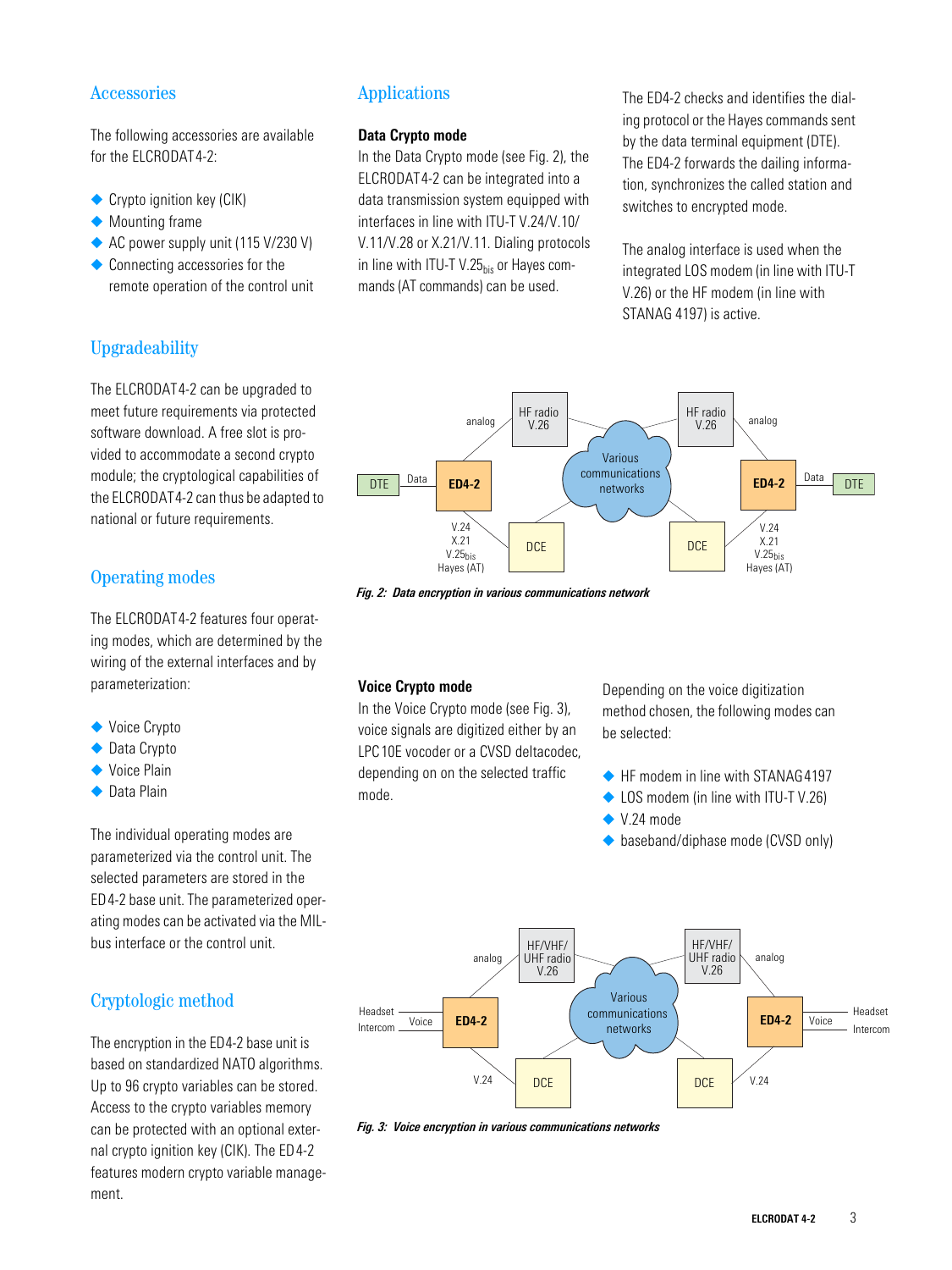## Accessories

The following accessories are available for the ELCRODAT4-2:

- ◆ Crypto ignition key (CIK)
- ◆ Mounting frame
- ◆ AC power supply unit (115 V/230 V)
- ◆ Connecting accessories for the remote operation of the control unit

# Upgradeability

The ELCRODAT4-2 can be upgraded to meet future requirements via protected software download. A free slot is provided to accommodate a second crypto module; the cryptological capabilities of the ELCRODAT4-2 can thus be adapted to national or future requirements.

## Operating modes

The ELCRODAT4-2 features four operating modes, which are determined by the wiring of the external interfaces and by parameterization:

- ◆ Voice Crypto
- ◆ Data Crypto
- ◆ Voice Plain
- ◆ Data Plain

The individual operating modes are parameterized via the control unit. The selected parameters are stored in the ED4-2 base unit. The parameterized operating modes can be activated via the MILbus interface or the control unit.

## Cryptologic method

The encryption in the ED4-2 base unit is based on standardized NATO algorithms. Up to 96 crypto variables can be stored. Access to the crypto variables memory can be protected with an optional external crypto ignition key (CIK). The ED4-2 features modern crypto variable management.

## Applications

## **Data Crypto mode**

In the Data Crypto mode (see Fig. 2), the ELCRODAT4-2 can be integrated into a data transmission system equipped with interfaces in line with ITU-T V.24/V.10/ V.11/V.28 or X.21/V.11. Dialing protocols in line with ITU-T V.25 $_{\text{his}}$  or Hayes commands (AT commands) can be used.

The ED4-2 checks and identifies the dialing protocol or the Hayes commands sent by the data terminal equipment (DTE). The ED4-2 forwards the dailing information, synchronizes the called station and switches to encrypted mode.

The analog interface is used when the integrated LOS modem (in line with ITU-T V.26) or the HF modem (in line with STANAG 4197) is active.



*Fig. 2: Data encryption in various communications network*

## **Voice Crypto mode**

In the Voice Crypto mode (see Fig. 3), voice signals are digitized either by an LPC10E vocoder or a CVSD deltacodec, depending on on the selected traffic mode.

Depending on the voice digitization method chosen, the following modes can be selected:

- ◆ HF modem in line with STANAG4197
- ◆ LOS modem (in line with ITU-T V.26)
- $\blacktriangleright$  V.24 mode
- ◆ baseband/diphase mode (CVSD only)



*Fig. 3: Voice encryption in various communications networks*